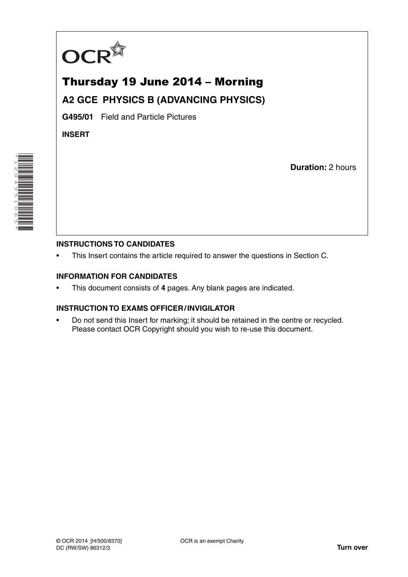

# Thursday 19 June 2014 – Morning **A2 GCE PHYSICS B (ADVANCING PHYSICS)**

**G495/01** Field and Particle Pictures

**INSERT**

\*1204951065\* 

**Duration:** 2 hours

### **INSTRUCTIONS TO CANDIDATES**

This Insert contains the article required to answer the questions in Section C.

### **INFORMATION FOR CANDIDATES**

• This document consists of **4** pages. Any blank pages are indicated.

### **INSTRUCTION TO EXAMS OFFICER / INVIGILATOR**

• Do not send this Insert for marking; it should be retained in the centre or recycled. Please contact OCR Copyright should you wish to re-use this document.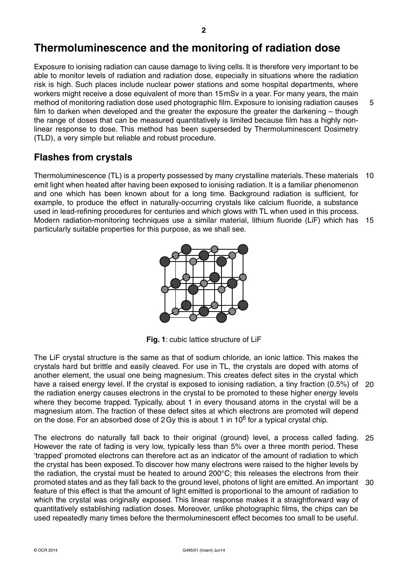## **Thermoluminescence and the monitoring of radiation dose**

Exposure to ionising radiation can cause damage to living cells. It is therefore very important to be able to monitor levels of radiation and radiation dose, especially in situations where the radiation risk is high. Such places include nuclear power stations and some hospital departments, where workers might receive a dose equivalent of more than 15 mSv in a year. For many years, the main method of monitoring radiation dose used photographic film. Exposure to ionising radiation causes film to darken when developed and the greater the exposure the greater the darkening – though the range of doses that can be measured quantitatively is limited because film has a highly nonlinear response to dose. This method has been superseded by Thermoluminescent Dosimetry (TLD), a very simple but reliable and robust procedure. 5

### **Flashes from crystals**

Thermoluminescence (TL) is a property possessed by many crystalline materials. These materials 10 emit light when heated after having been exposed to ionising radiation. It is a familiar phenomenon and one which has been known about for a long time. Background radiation is sufficient, for example, to produce the effect in naturally-occurring crystals like calcium fluoride, a substance used in lead-refining procedures for centuries and which glows with TL when used in this process. Modern radiation-monitoring techniques use a similar material, lithium fluoride (LiF) which has 15 particularly suitable properties for this purpose, as we shall see.



**Fig. 1**: cubic lattice structure of LiF

The LiF crystal structure is the same as that of sodium chloride, an ionic lattice. This makes the crystals hard but brittle and easily cleaved. For use in TL, the crystals are doped with atoms of another element, the usual one being magnesium. This creates defect sites in the crystal which have a raised energy level. If the crystal is exposed to ionising radiation, a tiny fraction (0.5%) of 20 the radiation energy causes electrons in the crystal to be promoted to these higher energy levels where they become trapped. Typically, about 1 in every thousand atoms in the crystal will be a magnesium atom. The fraction of these defect sites at which electrons are promoted will depend on the dose. For an absorbed dose of 2 Gy this is about 1 in  $10^6$  for a typical crystal chip.

The electrons do naturally fall back to their original (ground) level, a process called fading. 25 However the rate of fading is very low, typically less than 5% over a three month period. These 'trapped' promoted electrons can therefore act as an indicator of the amount of radiation to which the crystal has been exposed. To discover how many electrons were raised to the higher levels by the radiation, the crystal must be heated to around 200°C; this releases the electrons from their promoted states and as they fall back to the ground level, photons of light are emitted. An important 30feature of this effect is that the amount of light emitted is proportional to the amount of radiation to which the crystal was originally exposed. This linear response makes it a straightforward way of quantitatively establishing radiation doses. Moreover, unlike photographic films, the chips can be used repeatedly many times before the thermoluminescent effect becomes too small to be useful.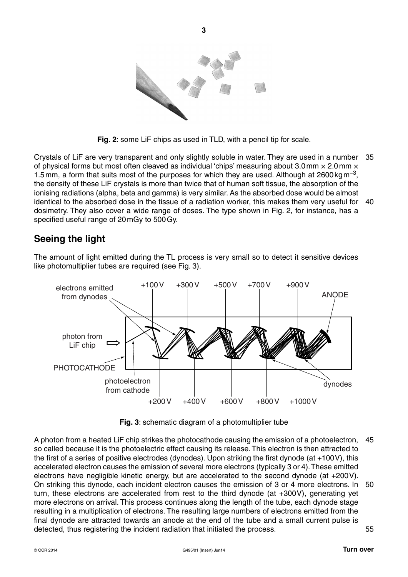

**Fig. 2**: some LiF chips as used in TLD, with a pencil tip for scale.

Crystals of LiF are very transparent and only slightly soluble in water. They are used in a number 35 of physical forms but most often cleaved as individual 'chips' measuring about 3.0 mm  $\times$  2.0 mm  $\times$ 1.5 mm, a form that suits most of the purposes for which they are used. Although at 2600 kg m<sup>-3</sup>, the density of these LiF crystals is more than twice that of human soft tissue, the absorption of the ionising radiations (alpha, beta and gamma) is very similar. As the absorbed dose would be almost identical to the absorbed dose in the tissue of a radiation worker, this makes them very useful for 40 dosimetry. They also cover a wide range of doses. The type shown in Fig. 2, for instance, has a specified useful range of 20 mGy to 500 Gy.

### **Seeing the light**

The amount of light emitted during the TL process is very small so to detect it sensitive devices like photomultiplier tubes are required (see Fig. 3).



**Fig. 3**: schematic diagram of a photomultiplier tube

A photon from a heated LiF chip strikes the photocathode causing the emission of a photoelectron, 45 so called because it is the photoelectric effect causing its release. This electron is then attracted to the first of a series of positive electrodes (dynodes). Upon striking the first dynode (at +100 V), this accelerated electron causes the emission of several more electrons (typically 3 or 4). These emitted electrons have negligible kinetic energy, but are accelerated to the second dynode (at +200 V). On striking this dynode, each incident electron causes the emission of 3 or 4 more electrons. In 50 turn, these electrons are accelerated from rest to the third dynode (at +300 V), generating yet more electrons on arrival. This process continues along the length of the tube, each dynode stage resulting in a multiplication of electrons. The resulting large numbers of electrons emitted from the final dynode are attracted towards an anode at the end of the tube and a small current pulse is detected, thus registering the incident radiation that initiated the process. 55